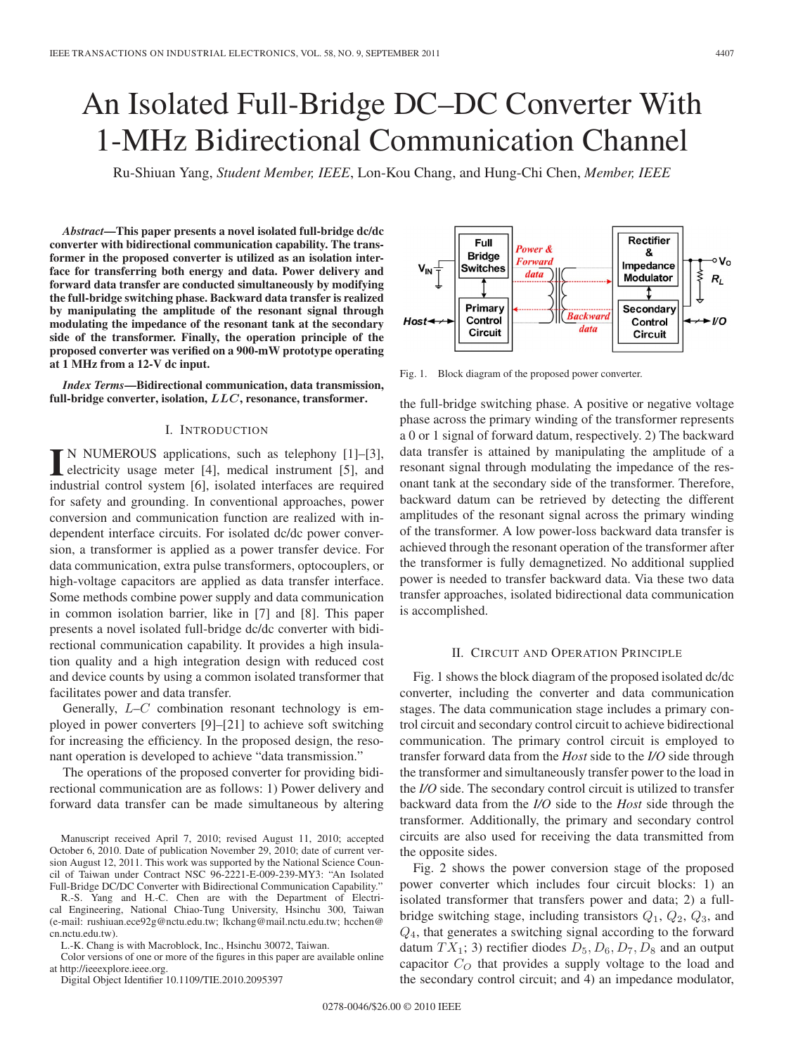# An Isolated Full-Bridge DC–DC Converter With 1-MHz Bidirectional Communication Channel

Ru-Shiuan Yang, *Student Member, IEEE*, Lon-Kou Chang, and Hung-Chi Chen, *Member, IEEE*

*Abstract***—This paper presents a novel isolated full-bridge dc/dc converter with bidirectional communication capability. The transformer in the proposed converter is utilized as an isolation interface for transferring both energy and data. Power delivery and forward data transfer are conducted simultaneously by modifying the full-bridge switching phase. Backward data transfer is realized by manipulating the amplitude of the resonant signal through modulating the impedance of the resonant tank at the secondary side of the transformer. Finally, the operation principle of the proposed converter was verified on a 900-mW prototype operating at 1 MHz from a 12-V dc input.**

*Index Terms***—Bidirectional communication, data transmission, full-bridge converter, isolation,** *LLC***, resonance, transformer.**

## I. INTRODUCTION

**I** N NUMEROUS applications, such as telephony [1]–[3], electricity usage meter [4], medical instrument [5], and industrial control system [6], isolated interfaces are required for safety and grounding. In conventional approaches, power conversion and communication function are realized with independent interface circuits. For isolated dc/dc power conversion, a transformer is applied as a power transfer device. For data communication, extra pulse transformers, optocouplers, or high-voltage capacitors are applied as data transfer interface. Some methods combine power supply and data communication in common isolation barrier, like in [7] and [8]. This paper presents a novel isolated full-bridge dc/dc converter with bidirectional communication capability. It provides a high insulation quality and a high integration design with reduced cost and device counts by using a common isolated transformer that facilitates power and data transfer.

Generally,  $L-C$  combination resonant technology is employed in power converters [9]–[21] to achieve soft switching for increasing the efficiency. In the proposed design, the resonant operation is developed to achieve "data transmission."

The operations of the proposed converter for providing bidirectional communication are as follows: 1) Power delivery and forward data transfer can be made simultaneous by altering

Manuscript received April 7, 2010; revised August 11, 2010; accepted October 6, 2010. Date of publication November 29, 2010; date of current version August 12, 2011. This work was supported by the National Science Council of Taiwan under Contract NSC 96-2221-E-009-239-MY3: "An Isolated Full-Bridge DC/DC Converter with Bidirectional Communication Capability."

R.-S. Yang and H.-C. Chen are with the Department of Electrical Engineering, National Chiao-Tung University, Hsinchu 300, Taiwan (e-mail: rushiuan.ece92g@nctu.edu.tw; lkchang@mail.nctu.edu.tw; hcchen@ cn.nctu.edu.tw).

L.-K. Chang is with Macroblock, Inc., Hsinchu 30072, Taiwan.

Color versions of one or more of the figures in this paper are available online at http://ieeexplore.ieee.org.

Digital Object Identifier 10.1109/TIE.2010.2095397



Fig. 1. Block diagram of the proposed power converter.

the full-bridge switching phase. A positive or negative voltage phase across the primary winding of the transformer represents a 0 or 1 signal of forward datum, respectively. 2) The backward data transfer is attained by manipulating the amplitude of a resonant signal through modulating the impedance of the resonant tank at the secondary side of the transformer. Therefore, backward datum can be retrieved by detecting the different amplitudes of the resonant signal across the primary winding of the transformer. A low power-loss backward data transfer is achieved through the resonant operation of the transformer after the transformer is fully demagnetized. No additional supplied power is needed to transfer backward data. Via these two data transfer approaches, isolated bidirectional data communication is accomplished.

#### II. CIRCUIT AND OPERATION PRINCIPLE

Fig. 1 shows the block diagram of the proposed isolated dc/dc converter, including the converter and data communication stages. The data communication stage includes a primary control circuit and secondary control circuit to achieve bidirectional communication. The primary control circuit is employed to transfer forward data from the *Host* side to the *I/O* side through the transformer and simultaneously transfer power to the load in the *I/O* side. The secondary control circuit is utilized to transfer backward data from the *I/O* side to the *Host* side through the transformer. Additionally, the primary and secondary control circuits are also used for receiving the data transmitted from the opposite sides.

Fig. 2 shows the power conversion stage of the proposed power converter which includes four circuit blocks: 1) an isolated transformer that transfers power and data; 2) a fullbridge switching stage, including transistors  $Q_1$ ,  $Q_2$ ,  $Q_3$ , and  $Q<sub>4</sub>$ , that generates a switching signal according to the forward datum  $TX_1$ ; 3) rectifier diodes  $D_5, D_6, D_7, D_8$  and an output capacitor  $C_O$  that provides a supply voltage to the load and the secondary control circuit; and 4) an impedance modulator,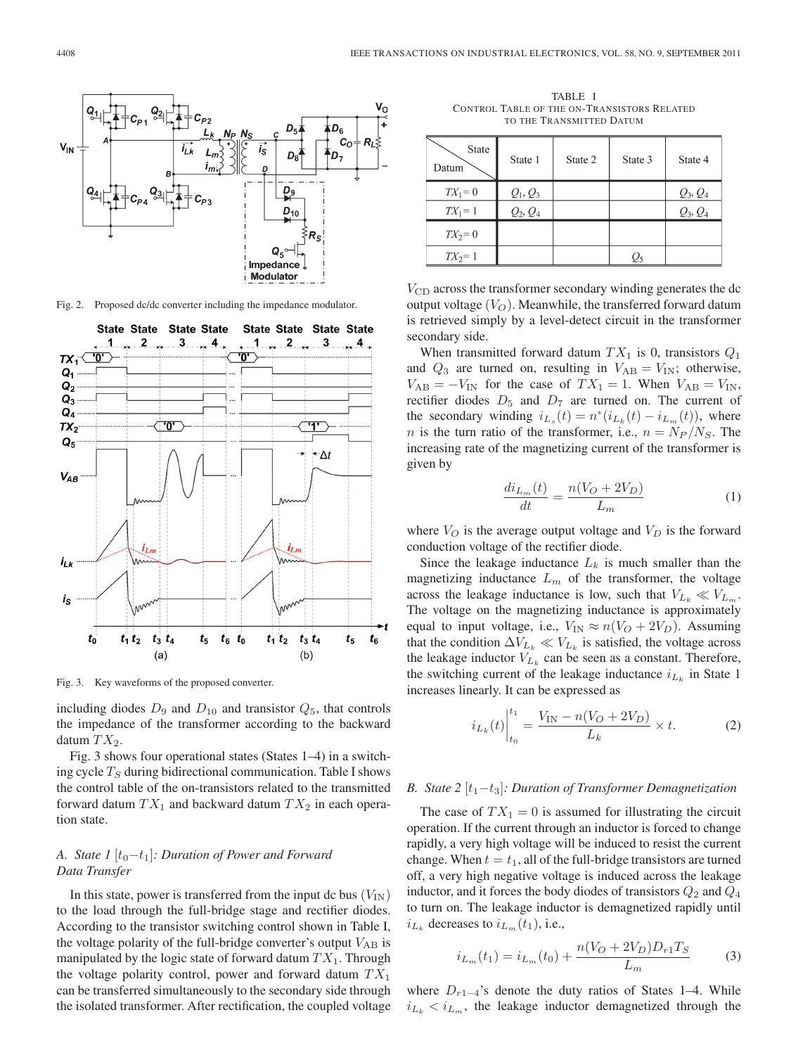

Fig. 2. Proposed dc/dc converter including the impedance modulator.



Fig. 3. Key waveforms of the proposed converter.

including diodes  $D_9$  and  $D_{10}$  and transistor  $Q_5$ , that controls the impedance of the transformer according to the backward datum  $TX_2$ .

Fig. 3 shows four operational states (States 1–4) in a switching cycle  $T<sub>S</sub>$  during bidirectional communication. Table I shows the control table of the on-transistors related to the transmitted forward datum  $TX_1$  and backward datum  $TX_2$  in each operation state.

# *A. State 1* [t<sub>0</sub>−t<sub>1</sub>]*: Duration of Power and Forward Data Transfer*

In this state, power is transferred from the input dc bus  $(V_{\text{IN}})$ to the load through the full-bridge stage and rectifier diodes. According to the transistor switching control shown in Table I, the voltage polarity of the full-bridge converter's output  $V_{AB}$  is manipulated by the logic state of forward datum  $TX_1$ . Through the voltage polarity control, power and forward datum  $TX_1$ can be transferred simultaneously to the secondary side through the isolated transformer. After rectification, the coupled voltage

TABLE I CONTROL TABLE OF THE ON-TRANSISTORS RELATED TO THE TRANSMITTED DATUM

| State<br>Datum | State 1    | State 2 | State 3         | State 4    |
|----------------|------------|---------|-----------------|------------|
| $TX_1=0$       | $Q_1, Q_3$ |         |                 | $Q_3, Q_4$ |
| $TX_1 = 1$     | $Q_2, Q_4$ |         |                 | $Q_3, Q_4$ |
| $TX_2=0$       |            |         |                 |            |
| $TX_2=1$       |            |         | $\mathcal{Q}_5$ |            |

 $V_{\rm CD}$  across the transformer secondary winding generates the dc output voltage  $(V<sub>O</sub>)$ . Meanwhile, the transferred forward datum is retrieved simply by a level-detect circuit in the transformer secondary side.

When transmitted forward datum  $TX_1$  is 0, transistors  $Q_1$ and  $Q_3$  are turned on, resulting in  $V_{AB} = V_{IN}$ ; otherwise,  $V_{AB} = -V_{IN}$  for the case of  $TX_1 = 1$ . When  $V_{AB} = V_{IN}$ , rectifier diodes  $D_5$  and  $D_7$  are turned on. The current of the secondary winding  $i_{L_s}(t) = n^*(i_{L_k}(t) - i_{L_m}(t))$ , where *n* is the turn ratio of the transformer, i.e.,  $n = N_P / N_S$ . The increasing rate of the magnetizing current of the transformer is given by

$$
\frac{di_{L_m}(t)}{dt} = \frac{n(V_O + 2V_D)}{L_m} \tag{1}
$$

where  $V_O$  is the average output voltage and  $V_D$  is the forward conduction voltage of the rectifier diode.

Since the leakage inductance  $L_k$  is much smaller than the magnetizing inductance  $L_m$  of the transformer, the voltage across the leakage inductance is low, such that  $V_{L_k} \ll V_{L_m}$ . The voltage on the magnetizing inductance is approximately equal to input voltage, i.e.,  $V_{IN} \approx n(V_O + 2V_D)$ . Assuming that the condition  $\Delta V_{L_k} \ll V_{L_k}$  is satisfied, the voltage across the leakage inductor  $V_{L_k}$  can be seen as a constant. Therefore, the switching current of the leakage inductance  $i_{L_k}$  in State 1 increases linearly. It can be expressed as

$$
i_{L_k}(t)\Big|_{t_0}^{t_1} = \frac{V_{\text{IN}} - n(V_O + 2V_D)}{L_k} \times t.
$$
 (2)

## *B. State* 2 [t<sub>1</sub>−t<sub>3</sub>]*: Duration of Transformer Demagnetization*

The case of  $TX_1 = 0$  is assumed for illustrating the circuit operation. If the current through an inductor is forced to change rapidly, a very high voltage will be induced to resist the current change. When  $t = t_1$ , all of the full-bridge transistors are turned off, a very high negative voltage is induced across the leakage inductor, and it forces the body diodes of transistors  $Q_2$  and  $Q_4$ to turn on. The leakage inductor is demagnetized rapidly until  $i_{L_k}$  decreases to  $i_{L_m}(t_1)$ , i.e.,

$$
i_{L_m}(t_1) = i_{L_m}(t_0) + \frac{n(V_O + 2V_D)D_{r1}T_S}{L_m}
$$
 (3)

where  $D_{r1-4}$ 's denote the duty ratios of States 1–4. While  $i_{L_k} < i_{L_m}$ , the leakage inductor demagnetized through the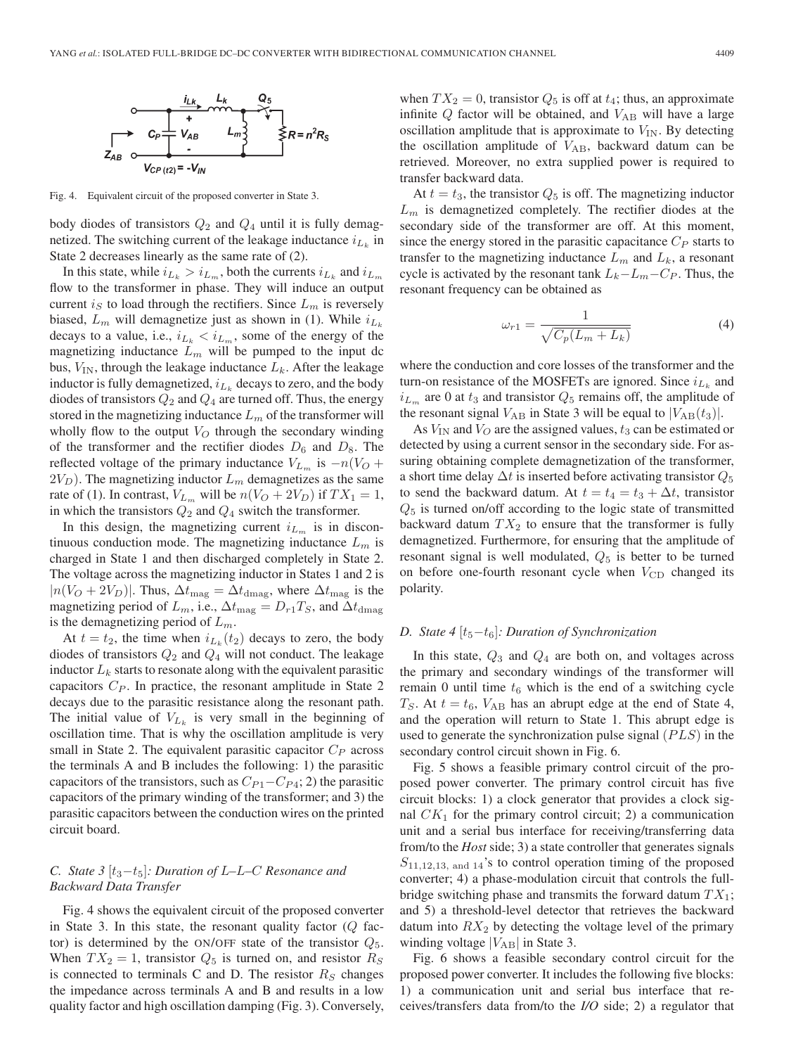

Fig. 4. Equivalent circuit of the proposed converter in State 3.

body diodes of transistors  $Q_2$  and  $Q_4$  until it is fully demagnetized. The switching current of the leakage inductance  $i_{L_k}$  in State 2 decreases linearly as the same rate of (2).

In this state, while  $i_{L_k} > i_{L_m}$ , both the currents  $i_{L_k}$  and  $i_{L_m}$ flow to the transformer in phase. They will induce an output current  $i_S$  to load through the rectifiers. Since  $L_m$  is reversely biased,  $L_m$  will demagnetize just as shown in (1). While  $i_{L_k}$ decays to a value, i.e.,  $i_{L_k} < i_{L_m}$ , some of the energy of the magnetizing inductance  $L_m$  will be pumped to the input dc bus,  $V_{IN}$ , through the leakage inductance  $L_k$ . After the leakage inductor is fully demagnetized,  $i_{L_k}$  decays to zero, and the body diodes of transistors  $Q_2$  and  $Q_4$  are turned off. Thus, the energy stored in the magnetizing inductance  $L_m$  of the transformer will wholly flow to the output  $V_O$  through the secondary winding of the transformer and the rectifier diodes  $D_6$  and  $D_8$ . The reflected voltage of the primary inductance  $V_{L_m}$  is  $-n(V_O +$  $2V_D$ ). The magnetizing inductor  $L_m$  demagnetizes as the same rate of (1). In contrast,  $V_{L_m}$  will be  $n(V_O + 2V_D)$  if  $TX_1 = 1$ , in which the transistors  $Q_2$  and  $Q_4$  switch the transformer.

In this design, the magnetizing current  $i_{L_m}$  is in discontinuous conduction mode. The magnetizing inductance  $L_m$  is charged in State 1 and then discharged completely in State 2. The voltage across the magnetizing inductor in States 1 and 2 is  $|n(V_O + 2V_D)|$ . Thus,  $\Delta t_{\text{mag}} = \Delta t_{\text{dmag}}$ , where  $\Delta t_{\text{mag}}$  is the magnetizing period of  $L_m$ , i.e.,  $\Delta t_{\text{mag}} = D_{r1}T_S$ , and  $\Delta t_{\text{dmag}}$ is the demagnetizing period of  $L_m$ .

At  $t = t_2$ , the time when  $i_{L_k}(t_2)$  decays to zero, the body diodes of transistors  $Q_2$  and  $Q_4$  will not conduct. The leakage inductor  $L_k$  starts to resonate along with the equivalent parasitic capacitors  $C_P$ . In practice, the resonant amplitude in State 2 decays due to the parasitic resistance along the resonant path. The initial value of  $V_{L_k}$  is very small in the beginning of oscillation time. That is why the oscillation amplitude is very small in State 2. The equivalent parasitic capacitor  $C_P$  across the terminals A and B includes the following: 1) the parasitic capacitors of the transistors, such as  $C_{P1}-C_{P4}$ ; 2) the parasitic capacitors of the primary winding of the transformer; and 3) the parasitic capacitors between the conduction wires on the printed circuit board.

## *C. State 3*  $[t_3-t_5]$ *: Duration of L–L–C Resonance and Backward Data Transfer*

Fig. 4 shows the equivalent circuit of the proposed converter in State 3. In this state, the resonant quality factor  $(Q)$  factor) is determined by the ON/OFF state of the transistor  $Q_5$ . When  $TX_2 = 1$ , transistor  $Q_5$  is turned on, and resistor  $R_S$ is connected to terminals C and D. The resistor  $R<sub>S</sub>$  changes the impedance across terminals A and B and results in a low quality factor and high oscillation damping (Fig. 3). Conversely,

when  $TX_2 = 0$ , transistor  $Q_5$  is off at  $t_4$ ; thus, an approximate infinite  $Q$  factor will be obtained, and  $V_{AB}$  will have a large oscillation amplitude that is approximate to  $V_{\text{IN}}$ . By detecting the oscillation amplitude of  $V_{AB}$ , backward datum can be retrieved. Moreover, no extra supplied power is required to transfer backward data.

At  $t = t_3$ , the transistor  $Q_5$  is off. The magnetizing inductor  $L<sub>m</sub>$  is demagnetized completely. The rectifier diodes at the secondary side of the transformer are off. At this moment, since the energy stored in the parasitic capacitance  $C_P$  starts to transfer to the magnetizing inductance  $L_m$  and  $L_k$ , a resonant cycle is activated by the resonant tank  $L_k-L_m-C_P$ . Thus, the resonant frequency can be obtained as

$$
\omega_{r1} = \frac{1}{\sqrt{C_p(L_m + L_k)}}\tag{4}
$$

where the conduction and core losses of the transformer and the turn-on resistance of the MOSFETs are ignored. Since  $i_{L_k}$  and  $i_{L_m}$  are 0 at  $t_3$  and transistor  $Q_5$  remains off, the amplitude of the resonant signal  $V_{AB}$  in State 3 will be equal to  $|V_{AB}(t_3)|$ .

As  $V_{\text{IN}}$  and  $V_O$  are the assigned values,  $t_3$  can be estimated or detected by using a current sensor in the secondary side. For assuring obtaining complete demagnetization of the transformer, a short time delay  $\Delta t$  is inserted before activating transistor  $Q_5$ to send the backward datum. At  $t = t_4 = t_3 + \Delta t$ , transistor  $Q_5$  is turned on/off according to the logic state of transmitted backward datum  $TX_2$  to ensure that the transformer is fully demagnetized. Furthermore, for ensuring that the amplitude of resonant signal is well modulated,  $Q_5$  is better to be turned on before one-fourth resonant cycle when  $V_{\text{CD}}$  changed its polarity.

## *D.* State 4 [t<sub>5</sub>−t<sub>6</sub>]: Duration of Synchronization

In this state,  $Q_3$  and  $Q_4$  are both on, and voltages across the primary and secondary windings of the transformer will remain 0 until time  $t_6$  which is the end of a switching cycle  $T<sub>S</sub>$ . At  $t = t<sub>6</sub>$ ,  $V<sub>AB</sub>$  has an abrupt edge at the end of State 4, and the operation will return to State 1. This abrupt edge is used to generate the synchronization pulse signal  $(PLS)$  in the secondary control circuit shown in Fig. 6.

Fig. 5 shows a feasible primary control circuit of the proposed power converter. The primary control circuit has five circuit blocks: 1) a clock generator that provides a clock signal  $CK<sub>1</sub>$  for the primary control circuit; 2) a communication unit and a serial bus interface for receiving/transferring data from/to the *Host* side; 3) a state controller that generates signals  $S_{11,12,13, \text{ and } 14}$ 's to control operation timing of the proposed converter; 4) a phase-modulation circuit that controls the fullbridge switching phase and transmits the forward datum  $TX_1$ ; and 5) a threshold-level detector that retrieves the backward datum into  $RX_2$  by detecting the voltage level of the primary winding voltage  $|V_{AB}|$  in State 3.

Fig. 6 shows a feasible secondary control circuit for the proposed power converter. It includes the following five blocks: 1) a communication unit and serial bus interface that receives/transfers data from/to the *I/O* side; 2) a regulator that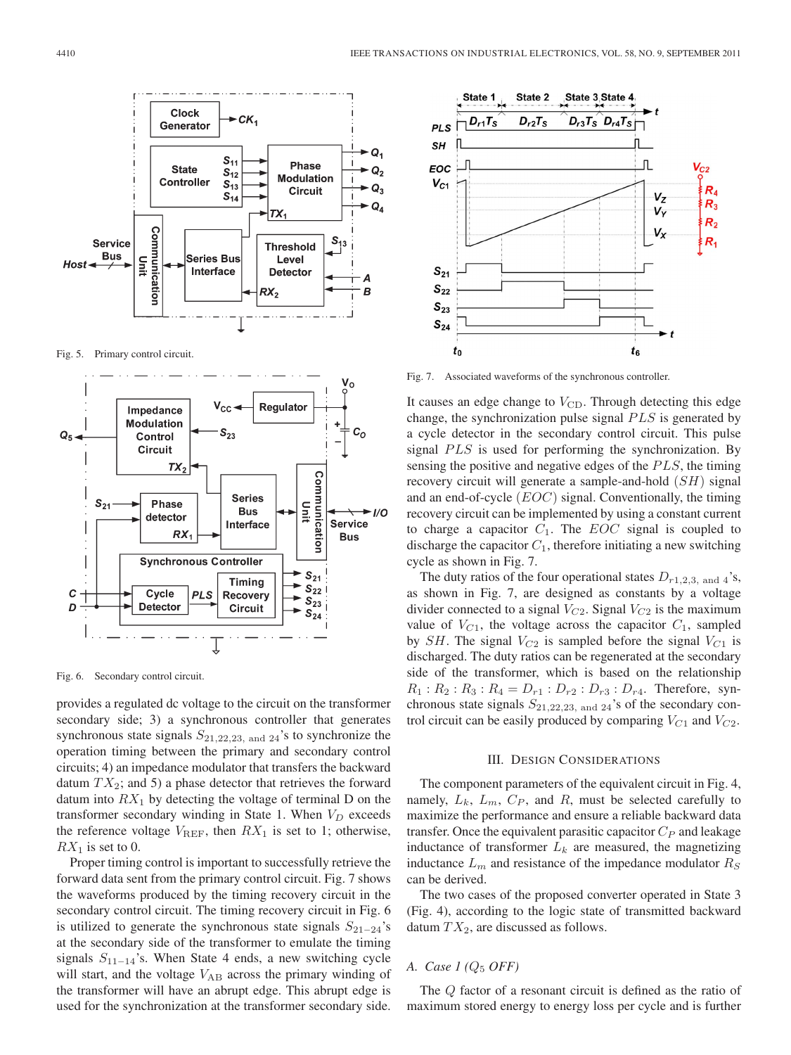

Fig. 5. Primary control circuit.



Fig. 6. Secondary control circuit.

provides a regulated dc voltage to the circuit on the transformer secondary side; 3) a synchronous controller that generates synchronous state signals  $S_{21,22,23, \text{ and } 24}$ 's to synchronize the operation timing between the primary and secondary control circuits; 4) an impedance modulator that transfers the backward datum  $TX_2$ ; and 5) a phase detector that retrieves the forward datum into  $RX_1$  by detecting the voltage of terminal D on the transformer secondary winding in State 1. When  $V_D$  exceeds the reference voltage  $V_{REF}$ , then  $RX_1$  is set to 1; otherwise,  $RX_1$  is set to 0.

Proper timing control is important to successfully retrieve the forward data sent from the primary control circuit. Fig. 7 shows the waveforms produced by the timing recovery circuit in the secondary control circuit. The timing recovery circuit in Fig. 6 is utilized to generate the synchronous state signals  $S_{21-24}$ 's at the secondary side of the transformer to emulate the timing signals  $S_{11-14}$ 's. When State 4 ends, a new switching cycle will start, and the voltage  $V_{AB}$  across the primary winding of the transformer will have an abrupt edge. This abrupt edge is used for the synchronization at the transformer secondary side.



Fig. 7. Associated waveforms of the synchronous controller.

It causes an edge change to  $V_{\text{CD}}$ . Through detecting this edge change, the synchronization pulse signal  $PLS$  is generated by a cycle detector in the secondary control circuit. This pulse signal  $PLS$  is used for performing the synchronization. By sensing the positive and negative edges of the  $PLS$ , the timing recovery circuit will generate a sample-and-hold (SH) signal and an end-of-cycle (EOC) signal. Conventionally, the timing recovery circuit can be implemented by using a constant current to charge a capacitor  $C_1$ . The *EOC* signal is coupled to discharge the capacitor  $C_1$ , therefore initiating a new switching cycle as shown in Fig. 7.

The duty ratios of the four operational states  $D_{r1,2,3, \text{ and } 4}$ 's, as shown in Fig. 7, are designed as constants by a voltage divider connected to a signal  $V_{C2}$ . Signal  $V_{C2}$  is the maximum value of  $V_{C1}$ , the voltage across the capacitor  $C_1$ , sampled by SH. The signal  $V_{C2}$  is sampled before the signal  $V_{C1}$  is discharged. The duty ratios can be regenerated at the secondary side of the transformer, which is based on the relationship  $R_1 : R_2 : R_3 : R_4 = D_{r1} : D_{r2} : D_{r3} : D_{r4}$ . Therefore, synchronous state signals  $S_{21,22,23, \text{ and } 24}$ 's of the secondary control circuit can be easily produced by comparing  $V_{C1}$  and  $V_{C2}$ .

### III. DESIGN CONSIDERATIONS

The component parameters of the equivalent circuit in Fig. 4, namely,  $L_k$ ,  $L_m$ ,  $C_P$ , and R, must be selected carefully to maximize the performance and ensure a reliable backward data transfer. Once the equivalent parasitic capacitor  $C_P$  and leakage inductance of transformer  $L_k$  are measured, the magnetizing inductance  $L_m$  and resistance of the impedance modulator  $R_S$ can be derived.

The two cases of the proposed converter operated in State 3 (Fig. 4), according to the logic state of transmitted backward datum  $TX_2$ , are discussed as follows.

# *A. Case 1 (*Q<sup>5</sup> *OFF)*

The Q factor of a resonant circuit is defined as the ratio of maximum stored energy to energy loss per cycle and is further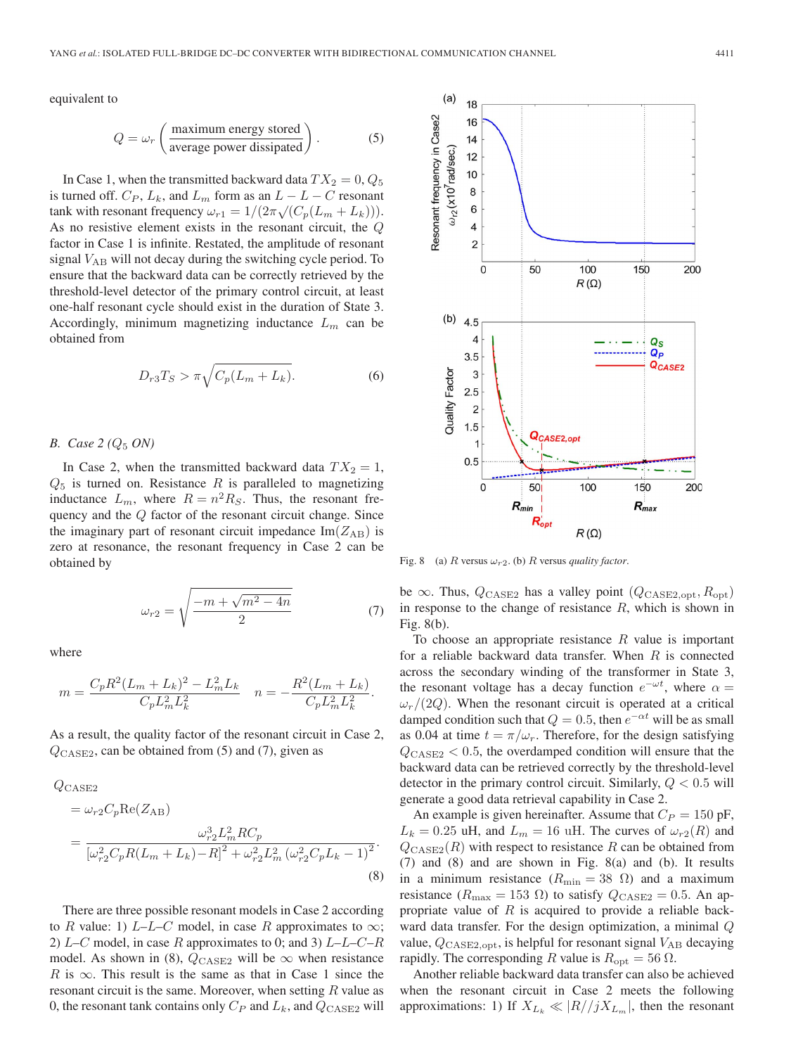equivalent to

$$
Q = \omega_r \left( \frac{\text{maximum energy stored}}{\text{average power dissipated}} \right). \tag{5}
$$

In Case 1, when the transmitted backward data  $TX_2 = 0, Q_5$ is turned off.  $C_P$ ,  $L_k$ , and  $L_m$  form as an  $L - L - C$  resonant tank with resonant frequency  $\omega_{r1} = 1/(2\pi \sqrt{(C_p(L_m + L_k))})$ . As no resistive element exists in the resonant circuit, the Q factor in Case 1 is infinite. Restated, the amplitude of resonant signal  $V_{AB}$  will not decay during the switching cycle period. To ensure that the backward data can be correctly retrieved by the threshold-level detector of the primary control circuit, at least one-half resonant cycle should exist in the duration of State 3. Accordingly, minimum magnetizing inductance  $L_m$  can be obtained from

$$
D_{r3}T_S > \pi \sqrt{C_p(L_m + L_k)}.
$$
\n<sup>(6)</sup>

*B. Case 2 (Q<sub>5</sub> <i>ON)* 

In Case 2, when the transmitted backward data  $TX_2 = 1$ ,  $Q_5$  is turned on. Resistance R is paralleled to magnetizing inductance  $L_m$ , where  $R = n^2 R_S$ . Thus, the resonant frequency and the Q factor of the resonant circuit change. Since the imaginary part of resonant circuit impedance  $Im(Z_{AB})$  is zero at resonance, the resonant frequency in Case 2 can be obtained by

$$
\omega_{r2} = \sqrt{\frac{-m + \sqrt{m^2 - 4n}}{2}}\tag{7}
$$

where

$$
m = \frac{C_p R^2 (L_m + L_k)^2 - L_m^2 L_k}{C_p L_m^2 L_k^2} \quad n = -\frac{R^2 (L_m + L_k)}{C_p L_m^2 L_k^2}.
$$

As a result, the quality factor of the resonant circuit in Case 2,  $Q<sub>CASE2</sub>$ , can be obtained from (5) and (7), given as

$$
Q_{\text{CASE2}} = \omega_{r2} C_p \text{Re}(Z_{\text{AB}})
$$
  
= 
$$
\frac{\omega_{r2}^3 L_m^2 R C_p}{[\omega_{r2}^2 C_p R (L_m + L_k) - R]^2 + \omega_{r2}^2 L_m^2 (\omega_{r2}^2 C_p L_k - 1)^2}.
$$
  
(8)

There are three possible resonant models in Case 2 according to R value: 1) L–L–C model, in case R approximates to  $\infty$ ; 2)  $L-C$  model, in case R approximates to 0; and 3)  $L-L-C-R$ model. As shown in (8),  $Q_{\text{CASE2}}$  will be  $\infty$  when resistance R is  $\infty$ . This result is the same as that in Case 1 since the resonant circuit is the same. Moreover, when setting  $R$  value as 0, the resonant tank contains only  $C_P$  and  $L_k$ , and  $Q_{\text{CASE2}}$  will



Fig. 8 (a) R versus  $\omega_{r2}$ . (b) R versus *quality factor*.

be  $\infty$ . Thus,  $Q_{\text{CASE2}}$  has a valley point  $(Q_{\text{CASE2},\text{opt}}, R_{\text{opt}})$ in response to the change of resistance  $R$ , which is shown in Fig. 8(b).

To choose an appropriate resistance  $R$  value is important for a reliable backward data transfer. When  $R$  is connected across the secondary winding of the transformer in State 3, the resonant voltage has a decay function  $e^{-\omega t}$ , where  $\alpha =$  $\omega_r/(2Q)$ . When the resonant circuit is operated at a critical damped condition such that  $Q = 0.5$ , then  $e^{-\alpha t}$  will be as small as 0.04 at time  $t = \pi/\omega_r$ . Therefore, for the design satisfying  $Q_{\text{CASE2}}$  < 0.5, the overdamped condition will ensure that the backward data can be retrieved correctly by the threshold-level detector in the primary control circuit. Similarly,  $Q < 0.5$  will generate a good data retrieval capability in Case 2.

An example is given hereinafter. Assume that  $C_P = 150$  pF,  $L_k = 0.25$  uH, and  $L_m = 16$  uH. The curves of  $\omega_{r2}(R)$  and  $Q<sub>CASE2</sub>(R)$  with respect to resistance R can be obtained from (7) and (8) and are shown in Fig. 8(a) and (b). It results in a minimum resistance ( $R_{\text{min}} = 38 \Omega$ ) and a maximum resistance ( $R_{\text{max}} = 153 \Omega$ ) to satisfy  $Q_{\text{CASE2}} = 0.5$ . An appropriate value of  $R$  is acquired to provide a reliable backward data transfer. For the design optimization, a minimal Q value,  $Q_{\text{CASE2},\text{opt}}$ , is helpful for resonant signal  $V_{AB}$  decaying rapidly. The corresponding R value is  $R_{\text{opt}} = 56 \Omega$ .

Another reliable backward data transfer can also be achieved when the resonant circuit in Case 2 meets the following approximations: 1) If  $X_{L_k} \ll |R|/jX_{L_m}$ , then the resonant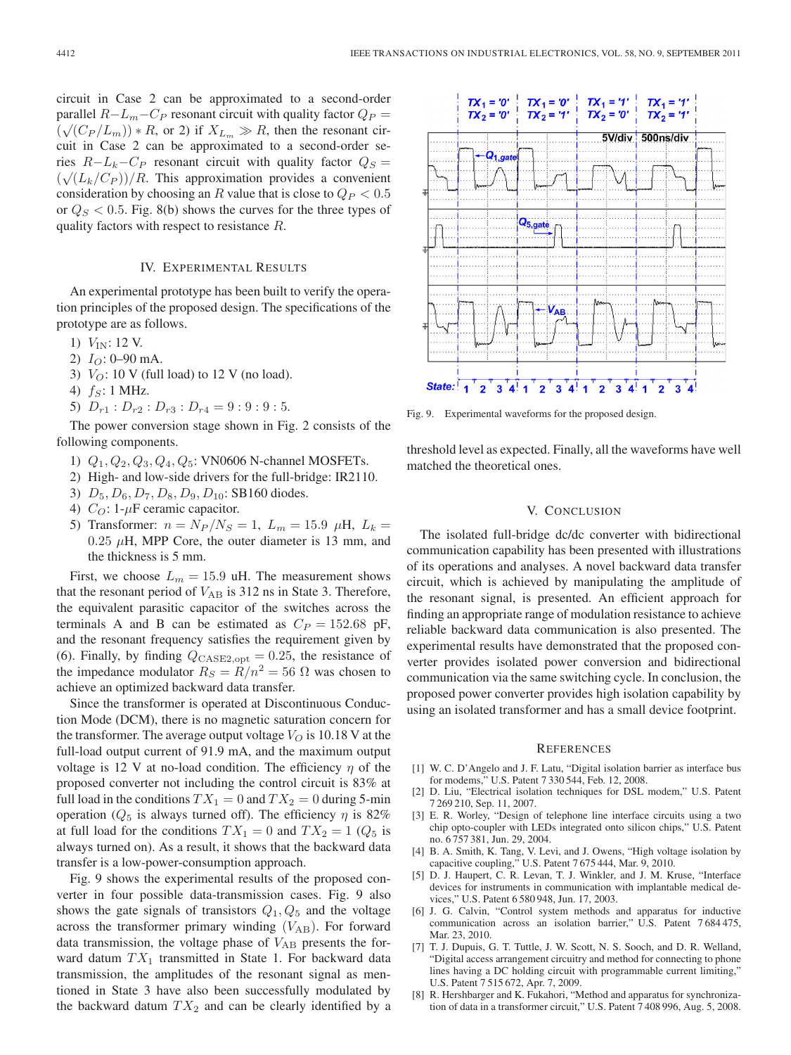circuit in Case 2 can be approximated to a second-order parallel  $R-L_m-C_P$  resonant circuit with quality factor  $Q_P =$  $(\sqrt{(C_P/L_m)})^* R$ , or 2) if  $X_{L_m} \gg R$ , then the resonant circuit in Case 2 can be approximated to a second-order series  $R-L_k-C_P$  resonant circuit with quality factor  $Q_S =$  $(\sqrt{(L_k/C_P)})/R$ . This approximation provides a convenient consideration by choosing an R value that is close to  $Q_P < 0.5$ or  $Q_S < 0.5$ . Fig. 8(b) shows the curves for the three types of quality factors with respect to resistance R.

#### IV. EXPERIMENTAL RESULTS

An experimental prototype has been built to verify the operation principles of the proposed design. The specifications of the prototype are as follows.

- 1)  $V_{IN}$ : 12 V.
- 2)  $I_O$ : 0–90 mA.
- 3)  $V_O$ : 10 V (full load) to 12 V (no load).
- 4)  $f_S$ : 1 MHz.
- 5)  $D_{r1}$ :  $D_{r2}$ :  $D_{r3}$ :  $D_{r4}$  = 9: 9: 9: 5.

The power conversion stage shown in Fig. 2 consists of the following components.

- 1)  $Q_1, Q_2, Q_3, Q_4, Q_5$ : VN0606 N-channel MOSFETs.
- 2) High- and low-side drivers for the full-bridge: IR2110.
- 3)  $D_5, D_6, D_7, D_8, D_9, D_{10}$ : SB160 diodes.
- 4)  $C_O$ : 1- $\mu$ F ceramic capacitor.
- 5) Transformer:  $n = N_P/N_S = 1$ ,  $L_m = 15.9 \mu H$ ,  $L_k =$  $0.25 \mu$ H, MPP Core, the outer diameter is 13 mm, and the thickness is 5 mm.

First, we choose  $L_m = 15.9$  uH. The measurement shows that the resonant period of  $V_{AB}$  is 312 ns in State 3. Therefore, the equivalent parasitic capacitor of the switches across the terminals A and B can be estimated as  $C_P = 152.68$  pF, and the resonant frequency satisfies the requirement given by (6). Finally, by finding  $Q_{\text{CASE2,opt}} = 0.25$ , the resistance of the impedance modulator  $R_S = R/n^2 = 56 \Omega$  was chosen to achieve an optimized backward data transfer.

Since the transformer is operated at Discontinuous Conduction Mode (DCM), there is no magnetic saturation concern for the transformer. The average output voltage  $V_O$  is 10.18 V at the full-load output current of 91.9 mA, and the maximum output voltage is 12 V at no-load condition. The efficiency  $\eta$  of the proposed converter not including the control circuit is 83% at full load in the conditions  $TX_1 = 0$  and  $TX_2 = 0$  during 5-min operation ( $Q_5$  is always turned off). The efficiency  $\eta$  is 82% at full load for the conditions  $TX_1 = 0$  and  $TX_2 = 1$  ( $Q_5$  is always turned on). As a result, it shows that the backward data transfer is a low-power-consumption approach.

Fig. 9 shows the experimental results of the proposed converter in four possible data-transmission cases. Fig. 9 also shows the gate signals of transistors  $Q_1, Q_5$  and the voltage across the transformer primary winding  $(V_{AB})$ . For forward data transmission, the voltage phase of  $V_{AB}$  presents the forward datum  $TX_1$  transmitted in State 1. For backward data transmission, the amplitudes of the resonant signal as mentioned in State 3 have also been successfully modulated by the backward datum  $TX_2$  and can be clearly identified by a



Fig. 9. Experimental waveforms for the proposed design.

threshold level as expected. Finally, all the waveforms have well matched the theoretical ones.

#### V. CONCLUSION

The isolated full-bridge dc/dc converter with bidirectional communication capability has been presented with illustrations of its operations and analyses. A novel backward data transfer circuit, which is achieved by manipulating the amplitude of the resonant signal, is presented. An efficient approach for finding an appropriate range of modulation resistance to achieve reliable backward data communication is also presented. The experimental results have demonstrated that the proposed converter provides isolated power conversion and bidirectional communication via the same switching cycle. In conclusion, the proposed power converter provides high isolation capability by using an isolated transformer and has a small device footprint.

#### **REFERENCES**

- [1] W. C. D'Angelo and J. F. Latu, "Digital isolation barrier as interface bus for modems," U.S. Patent 7 330 544, Feb. 12, 2008.
- [2] D. Liu, "Electrical isolation techniques for DSL modem," U.S. Patent 7 269 210, Sep. 11, 2007.
- [3] E. R. Worley, "Design of telephone line interface circuits using a two chip opto-coupler with LEDs integrated onto silicon chips," U.S. Patent no. 6 757 381, Jun. 29, 2004.
- [4] B. A. Smith, K. Tang, V. Levi, and J. Owens, "High voltage isolation by capacitive coupling," U.S. Patent 7 675 444, Mar. 9, 2010.
- [5] D. J. Haupert, C. R. Levan, T. J. Winkler, and J. M. Kruse, "Interface devices for instruments in communication with implantable medical devices," U.S. Patent 6 580 948, Jun. 17, 2003.
- [6] J. G. Calvin, "Control system methods and apparatus for inductive communication across an isolation barrier," U.S. Patent 7 684 475, Mar. 23, 2010.
- [7] T. J. Dupuis, G. T. Tuttle, J. W. Scott, N. S. Sooch, and D. R. Welland, "Digital access arrangement circuitry and method for connecting to phone lines having a DC holding circuit with programmable current limiting," U.S. Patent 7 515 672, Apr. 7, 2009.
- [8] R. Hershbarger and K. Fukahori, "Method and apparatus for synchronization of data in a transformer circuit," U.S. Patent 7 408 996, Aug. 5, 2008.